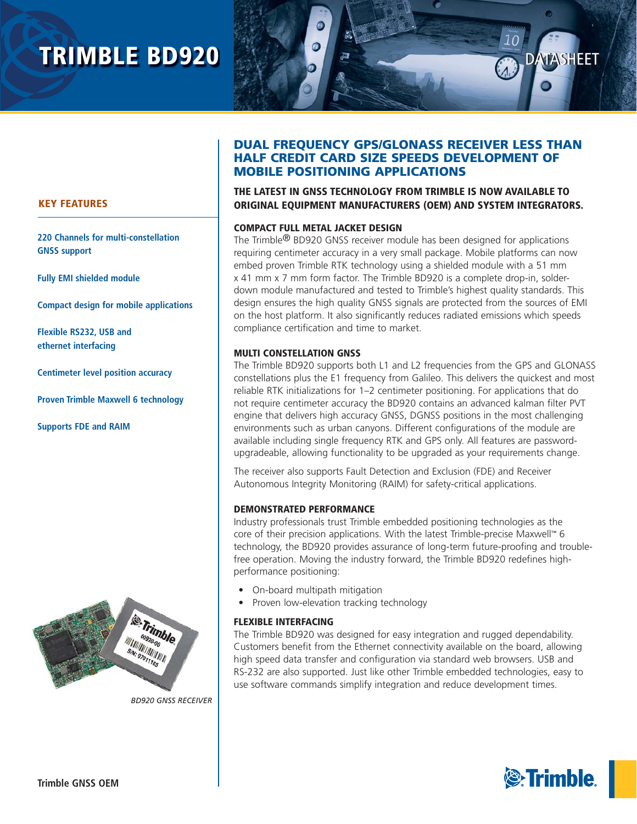# **TRIMBLE BD920**



## **KEY FEATURES**

**220 Channels for multi-constellation GNSS support**

**Fully EMI shielded module**

**Compact design for mobile applications**

**Flexible RS232, USB and ethernet interfacing**

**Centimeter level position accuracy** 

**Proven Trimble Maxwell 6 technology**

**Supports FDE and RAIM**



*BD920 GNSS RECEIVER*

## **DUAL FREQUENCY GPS/GLONASS RECEIVER LESS THAN HALF CREDIT CARD SIZE SPEEDS DEVELOPMENT OF MOBILE POSITIONING APPLICATIONS**

**THE LATEST IN GNSS TECHNOLOGY FROM TRIMBLE IS NOW AVAILABLE TO ORIGINAL EQUIPMENT MANUFACTURERS (OEM) AND SYSTEM INTEGRATORS.**

## **COMPACT FULL METAL JACKET DESIGN**

The Trimble® BD920 GNSS receiver module has been designed for applications requiring centimeter accuracy in a very small package. Mobile platforms can now embed proven Trimble RTK technology using a shielded module with a 51 mm x 41 mm x 7 mm form factor. The Trimble BD920 is a complete drop-in, solderdown module manufactured and tested to Trimble's highest quality standards. This design ensures the high quality GNSS signals are protected from the sources of EMI on the host platform. It also significantly reduces radiated emissions which speeds compliance certification and time to market.

#### **MULTI CONSTELLATION GNSS**

The Trimble BD920 supports both L1 and L2 frequencies from the GPS and GLONASS constellations plus the E1 frequency from Galileo. This delivers the quickest and most reliable RTK initializations for 1–2 centimeter positioning. For applications that do not require centimeter accuracy the BD920 contains an advanced kalman filter PVT engine that delivers high accuracy GNSS, DGNSS positions in the most challenging environments such as urban canyons. Different configurations of the module are available including single frequency RTK and GPS only. All features are passwordupgradeable, allowing functionality to be upgraded as your requirements change.

The receiver also supports Fault Detection and Exclusion (FDE) and Receiver Autonomous Integrity Monitoring (RAIM) for safety-critical applications.

## **DEMONSTRATED PERFORMANCE**

Industry professionals trust Trimble embedded positioning technologies as the core of their precision applications. With the latest Trimble-precise Maxwell™ 6 technology, the BD920 provides assurance of long-term future-proofing and troublefree operation. Moving the industry forward, the Trimble BD920 redefines highperformance positioning:

- On-board multipath mitigation
- Proven low-elevation tracking technology

## **FLEXIBLE INTERFACING**

The Trimble BD920 was designed for easy integration and rugged dependability. Customers benefit from the Ethernet connectivity available on the board, allowing high speed data transfer and configuration via standard web browsers. USB and RS-232 are also supported. Just like other Trimble embedded technologies, easy to use software commands simplify integration and reduce development times.